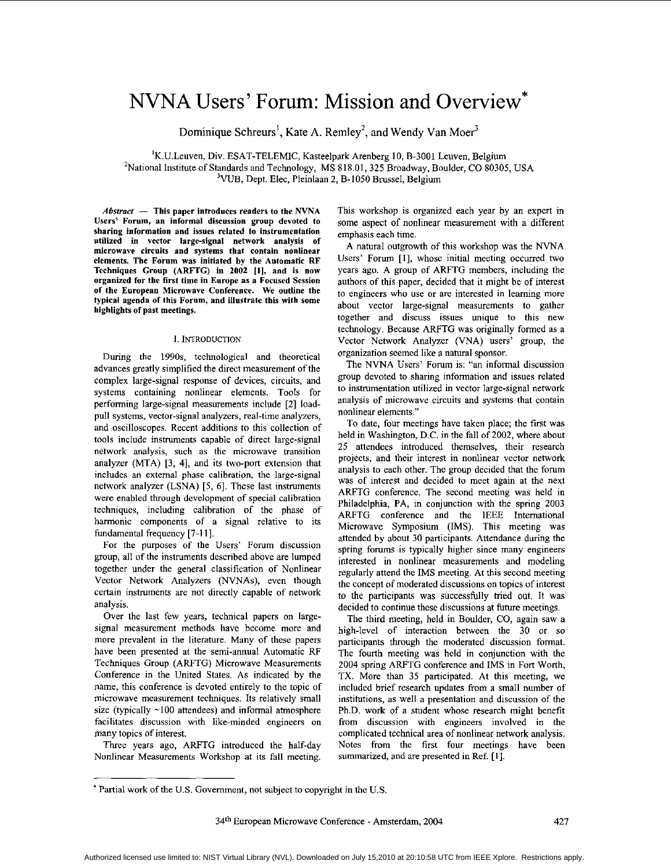# **NVNA** Users' Forum: Mission and Overview\*

Dominique Schreurs', Kate **A.** Remley', **and** Wendy Van Moer3

'K.U.Leuven, Div. ESAT-TELEMIC, Kasteelpark Arenberg IO, B-3001 Leuven, Belgium 2National Institute of Standards and Technology, MS 818.01, 325 Broadway, Boulder, CO *80305,* USA <sup>3</sup>VUB, Dept. Elec, Pleinlaan 2, B-1050 Brussel, Belgium

Abstract - This paper introduces readers to the NVNA Users' Forum, an informal discussion group devoted to sharing information and issues related to instrumentation utilized in vector large-signal network analysis of microwave circuits and systems that contain nonlinear elements. The Forum was initiated **by** the Automatic RF Techniques Group (ARFTG) in **2002 [l],** and is now organized for the first time in Europe as a Focused Session of the European Microwave Conference. We outline the typical agenda of this Forum, and illustrate this with some highlights of past meetings.

# **1.** INTRODUCTION

During the 1990s, technological and theoretical advances greatly simplified the direct measurement of the complex large-signal response of devices, circuits, and systems containing nonlinear elements. Tools for performing large-signal measurements include [2] loadpull systems, vector-signal analyzers, real-time analyzers, and oscilloscopes. Recent additions to this collection of tools include instruments capable of direct large-signal network analysis, such as the microwave transition analyzer (MTA) *[3,* **41,** and its two-port extension that includes an extemal phase calibration, the large-signal network analyzer (LSNA) *[5,* 61. These last instruments were enabled through development of special calibration techniques, including calibration of the phase of harmonic components of a signal relative to its fundamental frequency **[7-I I].** 

For the purposes of the Users' Forum discussion group, all of the instruments described above are lumped together under the general classification of Nonlinear Vector Network Analyzers (NVNAs), even though certain instruments are not directly capable of network analysis.

Over the last few years, technical papers on largesignal measurement methods have become more and more prevalent in the literature. Many of these papers have been presented at the semi-annual Automatic RF Techniques Group (ARFTG) Microwave Measurements Conference in the United States. As indicated by the name, this conference **is** devoted entirely to the topic of microwave measurement techniques. Its relatively small size (typically -100 attendees) and informal atmosphere facilitates discussion with like-minded engineers on many topics of interest.

Three years ago, ARFTG introduced the half-day Nonlinear Measurements Workshop at its fall meeting.

This workshop is organized each year by an expert in some aspect of nonlinear measurement with a different emphasis each time.

A natural outgrowth of this workshop was the NVNA Users' Forum **[I],** whose initial meeting occurred two years ago. A group of ARFTG members, including the authors of this paper, decided that it might be of interest to engineers who use or are interested in leaming more about vector large-signal measurements to gather together and discuss issues unique to this new technology. Because ARFTG was originally formed as a Vector Network Analyzer (VNA) users' group, the organization seemed like a natural sponsor.

The NVNA Users' Forum is: "an informal discussion group devoted to sharing information and issues related to instrumentation utilized in vector large-signal network analysis of microwave circuits and systems that contain nonlinear elements."

To date, four meetings have taken place; the first was held in Washington, D.C. in the fall of 2002, where about **25** attendees introduced themselves, their research projects, and their interest in nonlinear vector network analysis to each other. The group decided that the forum was of interest and decided to meet again at the next ARFTG conference. The second meeting was held in Philadelphia, PA, in conjunction with the spring 2003 ARFTG conference and the IEEE International Microwave Symposium (IMS). This meeting was attended by about *30* participants. Attendance during the spring forums is typically higher since many engineers interested in nonlinear measurements and modeling regularly attend the IMS meeting. At this second meeting the concept of moderated discussions on topics of interest to the participants was successfully tried out. It was decided to continue these discussions at future meetings.

The third meeting, held in Boulder, CO, again saw a high-level of interaction between the *30* or **so**  participants through the moderated discussion format. The fourth meeting was held in conjunction with the 2004 spring ARFTG conference and IMS in Fort Worth, TX. More than **35** participated. At this meeting, we included brief research updates from a small number of institutions, as well a presentation and discussion of the Ph.D. work of a student whose research might benefit from discussion with engineers involved in the complicated technical area of nonlinear network analysis. Notes from the first four meetings have been summarized, and are presented in Ref. **[I].** 

<sup>\*</sup> Partial work of the US. Government, not subject to copyright in the **U.S.**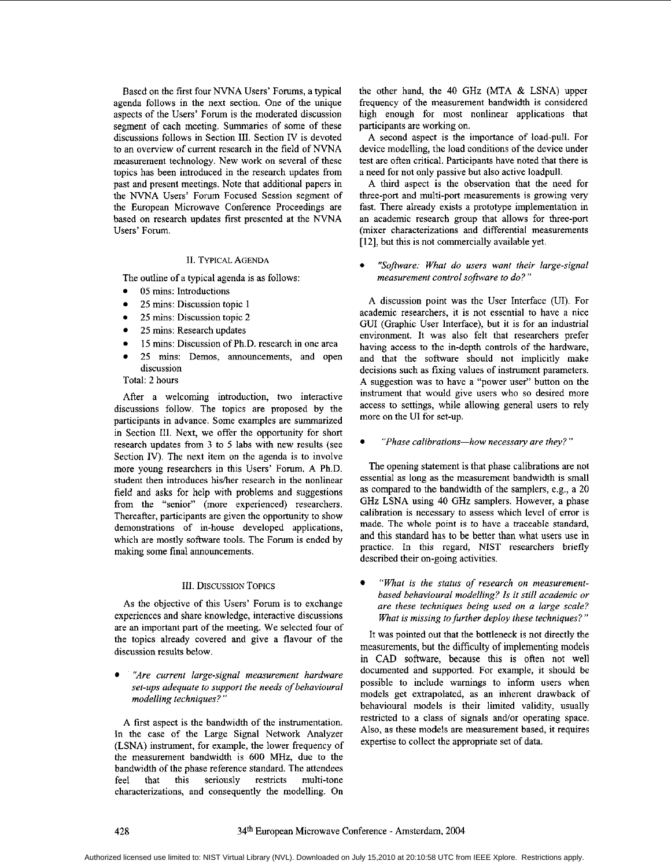Based on the first four NVNA Users' Forums, a typical agenda follows in the next section. One of the unique aspects of the Users' Forum is the moderated discussion segment of each meeting. Summaries of some of these discussions follows in Section 111. Section IV is devoted to an overview of current research in the field of NVNA measurement technology. New work on several of these topics has been introduced in the research updates from past and present meetings. Note that additional papers in the NVNA Users' Forum Focused Session segment of the European Microwave Conference Proceedings are based on research updates first presented at the NVNA Users' Forum.

# **II.** TYPICAL AGENDA

The outline of a typical agenda is **as** follows:

- 05 mins: Introductions
- 25 mins: Discussion topic **1**
- 25 mins: Discussion topic 2
- 25 mins: Research updates
- 15 mins: Discussion 0fPh.D. research in one area
- 25 mins: Demos, announcements, and open discussion
- Total: 2 hours

After a welcoming introduction, two interactive discussions follow. The topics are proposed by the participants in advance. Some examples are summarized in Section 111. Next, we offer the opportunity for short research updates from **3** to *5* labs with new results (see Section IV). The next item on the agenda is to involve more young researchers in this Users' Forum. A Ph.D. student then introduces his/her research in the nonlinear field and asks for help with problems and suggestions from the "senior" (more experienced) researchers. Thereafter, participants are given the opportunity to show demonstrations of in-house developed applications, which are mostly software tools. The Forum is ended by making some final announcements.

## 111. DISCUSSION **TOPICS**

**As** the objective of this Users' Forum is to exchange experiences and share knowledge, interactive discussions are an important part of the meeting. **We** selected four of the topics already covered and give a flavour of the discussion results below.

*%re current large-signal measurement hardware set-ups adequate to support the needs of behavioural modelling techniques?* "

**A** first aspect **is** the bandwidth of the instrumentation. In the case of the Large Signal Network Analyzer (LSNA) instrument, for example, the lower frequency of the measurement bandwidth is 600 **MHz,** due to the bandwidth of the phase reference standard. The attendees feel that this seriously restricts multi-tone characterizations, and consequently the modelling. On the other hand, the 40 GHz (MTA & **LSNA)** upper frequency of the measurement bandwidth is considered high enough for most nonlinear applications that participants are working on.

A second aspect is the importance of load-pull. For device modelling, the load conditions of the device under test are often critical. Participants have noted that there is a need for not only passive but **also** active loadpull.

**A** third aspect **is** the observation that the need for three-port and multi-port measurements is growing very fast. There already exists a prototype implementation in an academic research group that allows for three-port (mixer characterizations and differential measurements [12], but this is not commercially available yet.

*0 "Sofiare: What do users want their large-signal measurement control sofiare to do?"* 

**A** discussion point was the User Interface (UI). For academic researchers, it is not essential to have a nice GUI (Graphic User Interface), hut it is for an industrial environment. It was also felt that researchers prefer having access to the in-depth controls of the hardware, and that the software should not implicitly make decisions such as fixing values of instrument parameters. A suggestion was to have a "power user" button on the instrument that would give users who so desired more access to settings, while allowing general users to rely more on the U1 for set-up.

"Phase calibrations-how necessary are they?"

The opening statement is that phase calibrations are not essential as long as the measurement bandwidth is small as compared to the bandwidth of the samplers, e.g., a 20 GHz LSNA using 40 GHz samplers. However, a phase calibration is necessary to assess which level of error is made. The whole point is to have a traceable standard, and this standard has to he better than what users **use** in practice. In this regard, NIST researchers briefly described their on-going activities.

*"What is the status of research on measuremenfbased behavioural modelling? Is it still academic or are these techniques being used on a large scale? What is missing to further deploy these techniques?"* 

It was pointed out that the bottleneck is not directly the measurements, but the difficulty of implementing models in CAD software, because this is often not well documented and supported. For example, it should be possible to include warnings to inform users when models get extrapolated, **as** an inherent drawback of behavioural models **is** their limited validity, usually restricted to a class of signals and/or operating space. Also, as these models are measurement based, it requires expertise to collect the appropriate set of data.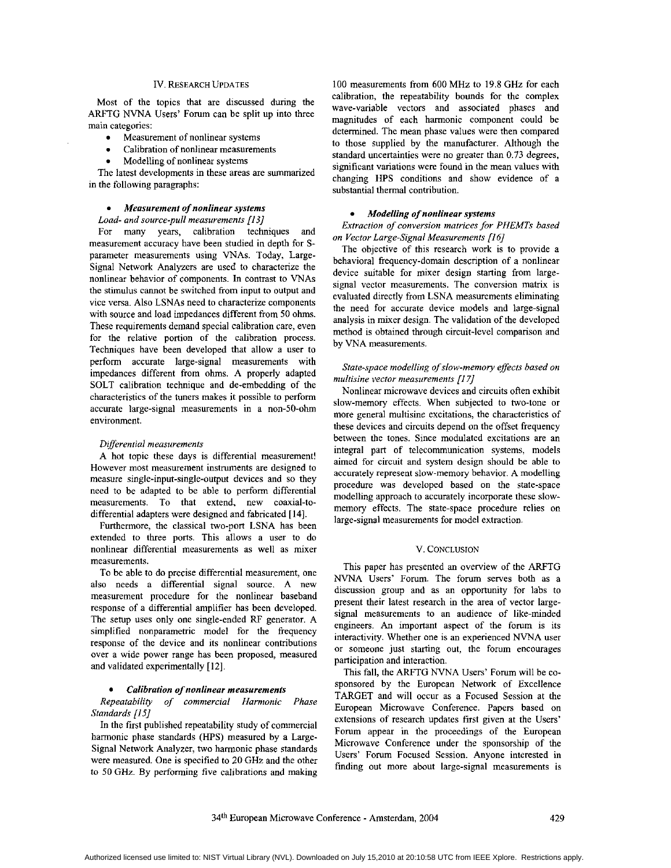# Iv. RESEARCH UPDATES

Most of the topics that are discussed during the ARFTG NVNA Users' Forum can be split up into three main categories:

- Measurement of nonlinear systems  $\bullet$
- Calibration of nonlinear measurements
- Modelling of nonlinear systems

The latest developments in these areas are summarized in the following paragraphs:

#### *Measurement of nonlinear sysiems*

#### *Load- and source-pull measurements [I31*

For many years, calibration techniques and measurement accuracy have been studied in depth for **S**parameter measurements using WAS. Today, Large-Signal Network Analyzers are used to characterize the nonlinear behavior of components. In contrast to VNAs the stimulus cannot be switched from input to output and vice versa. Also LSNAs need to characterize components with source and load impedances different from 50 ohms. These requirements demand special calibration care, even for the relative portion of the calibration process. Techniques have been developed that allow a user to perform accurate large-signal measurements with impedances different from ohms. A properly adapted SOLT calibration technique and de-embedding of the characteristics of the tuners makes it possible to perform accurate large-signal measurements in a non-50-ohm environment.

#### *Dgerential measurements*

**A** hot topic these days is differential measurement! However most measurement instruments are designed to measure single-input-single-output devices and so they need to be adapted to be able to perform differential measurements. To that extend, new coaxial-todifferential adapters were designed and fabricated [ **141.** 

Furthermore, the classical two-port LSNA has been extended to three ports. This allows a user to do nonlinear differential measurements as well as mixer V. CONCLUSION measurements.

To be able to do precise differential measurement, one also needs a differential signal source. A new measurement procedure for the nonlinear baseband response of a differential amplifier has been developed. The setup uses only one single-ended **RF** generator. A simplified nonparametric model for the frequency response of the device and its nonlinear contributions over a wide power range has been proposed, measured and validated experimentally [ **121.** 

#### *Calibration of nonlinear measurements*

*Repeatability of commercial Harmonic Phase Standards [I51* 

In the first published repeatability study of commercial harmonic phase standards (HPS) measured by a Large-Signal Network Analyzer, two harmonic phase standards were measured. One is specified to 20 GHz and the other to 50 **GHz.** By performing five calibrations and making

100 measurements from 600 MHz to 19.8 GHz for each calibration, the repeatability hounds for the complex wave-variable vectors and associated phases and magnitudes of each harmonic component could he determined. The mean phase values were then compared to those supplied by the manufacturer. Although the standard uncertainties were no greater than **0.73** degrees, significant variations were found in the mean values with changing HPS conditions and show evidence of a substantial thermal contribution.

# *Modelling of nonlinear sysiems*

*Extraction of conversion matrices for PHEMTs based on Vector Large-Signal Measurements [I 61* 

The objective of this research work is to provide a behavioral frequency-domain description of a nonlinear device suitable for mixer design starting from largesignal vector measurements. The conversion matrix is evaluated directly from LSNA measurements eliminating the need for accurate device models and large-signal analysis in mixer design. The validation of the developed method is obtained through circuit-level comparison and by VNA measurements.

#### *State-space modelling of slow-memory effects based on multisine vector measurements [I 71*

Nonlinear microwave devices and circuits often exhibit slow-memory effects. When subjected to two-tone or more general multisine excitations, the characteristics of these devices and circuits depend on the offset frequency between the tones. Since modulated excitations are an integral part of telecommunication systems, models aimed for circuit and system design should be able to accurately represent slow-memory behavior. A modelling procedure was developed based on the state-space modelling approach to accurately incorporate these slowmemory effects. The state-space procedure relies on large-signal measurements for model extraction.

This paper has presented an overview of the ARFTG NVNA **Users'** Forum. The forum serves both as a discussion group and as an opportunity for labs to present their latest research in the area of vector largesignal measurements to an audience of like-minded engineers. An important aspect of the forum is its interactivity. Whether one is an experienced NVNA user or someone just starting out, the forum encourages participation and interaction.

This fall, the ARFTG NVNA Users' Forum will be cosponsored by the European Network of Excellence TARGET and will occur as a Focused Session at the European Microwave Conference. Papers based on extensions of research updates first given at the Users' Forum appear in the proceedings of the European Microwave Conference under the sponsorship of the Users' Forum Focused Session. Anyone interested in finding out more about large-signal measurements is

**34Lh** European Microwave Conference - Amsterdam, 2004 429